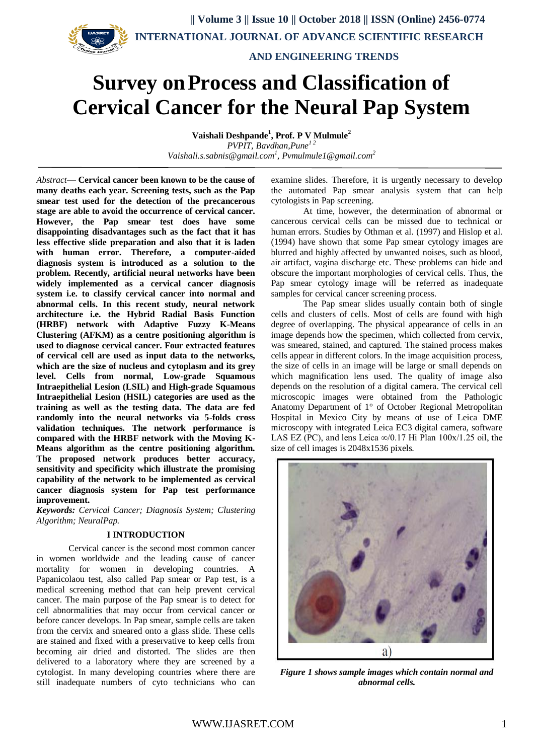

 **AND ENGINEERING TRENDS**

# **Survey onProcess and Classification of Cervical Cancer for the Neural Pap System**

**Vaishali Deshpande<sup>1</sup> , Prof. P V Mulmule<sup>2</sup>** *PVPIT, Bavdhan,Pune<sup>1</sup> <sup>2</sup> Vaishali.s.sabnis@gmail.com<sup>1</sup> , Pvmulmule1@gmail.com<sup>2</sup>*

*Abstract*— **Cervical cancer been known to be the cause of many deaths each year. Screening tests, such as the Pap smear test used for the detection of the precancerous stage are able to avoid the occurrence of cervical cancer. However, the Pap smear test does have some disappointing disadvantages such as the fact that it has less effective slide preparation and also that it is laden with human error. Therefore, a computer-aided diagnosis system is introduced as a solution to the problem. Recently, artificial neural networks have been widely implemented as a cervical cancer diagnosis system i.e. to classify cervical cancer into normal and abnormal cells. In this recent study, neural network architecture i.e. the Hybrid Radial Basis Function (HRBF) network with Adaptive Fuzzy K-Means Clustering (AFKM) as a centre positioning algorithm is used to diagnose cervical cancer. Four extracted features of cervical cell are used as input data to the networks, which are the size of nucleus and cytoplasm and its grey level. Cells from normal, Low-grade Squamous Intraepithelial Lesion (LSIL) and High-grade Squamous Intraepithelial Lesion (HSIL) categories are used as the training as well as the testing data. The data are fed randomly into the neural networks via 5-folds cross validation techniques. The network performance is compared with the HRBF network with the Moving K-Means algorithm as the centre positioning algorithm. The proposed network produces better accuracy, sensitivity and specificity which illustrate the promising capability of the network to be implemented as cervical cancer diagnosis system for Pap test performance improvement.**

*Keywords: Cervical Cancer; Diagnosis System; Clustering Algorithm; NeuralPap.*

#### **I INTRODUCTION**

Cervical cancer is the second most common cancer in women worldwide and the leading cause of cancer mortality for women in developing countries. A Papanicolaou test, also called Pap smear or Pap test, is a medical screening method that can help prevent cervical cancer. The main purpose of the Pap smear is to detect for cell abnormalities that may occur from cervical cancer or before cancer develops. In Pap smear, sample cells are taken from the cervix and smeared onto a glass slide. These cells are stained and fixed with a preservative to keep cells from becoming air dried and distorted. The slides are then delivered to a laboratory where they are screened by a cytologist. In many developing countries where there are still inadequate numbers of cyto technicians who can

examine slides. Therefore, it is urgently necessary to develop the automated Pap smear analysis system that can help cytologists in Pap screening.

At time, however, the determination of abnormal or cancerous cervical cells can be missed due to technical or human errors. Studies by Othman et al. (1997) and Hislop et al. (1994) have shown that some Pap smear cytology images are blurred and highly affected by unwanted noises, such as blood, air artifact, vagina discharge etc. These problems can hide and obscure the important morphologies of cervical cells. Thus, the Pap smear cytology image will be referred as inadequate samples for cervical cancer screening process.

The Pap smear slides usually contain both of single cells and clusters of cells. Most of cells are found with high degree of overlapping. The physical appearance of cells in an image depends how the specimen, which collected from cervix, was smeared, stained, and captured. The stained process makes cells appear in different colors. In the image acquisition process, the size of cells in an image will be large or small depends on which magnification lens used. The quality of image also depends on the resolution of a digital camera. The cervical cell microscopic images were obtained from the Pathologic Anatomy Department of 1° of October Regional Metropolitan Hospital in Mexico City by means of use of Leica DME microscopy with integrated Leica EC3 digital camera, software LAS EZ (PC), and lens Leica  $\infty/0.17$  Hi Plan  $100x/1.25$  oil, the size of cell images is 2048x1536 pixels.



*Figure 1 shows sample images which contain normal and abnormal cells.*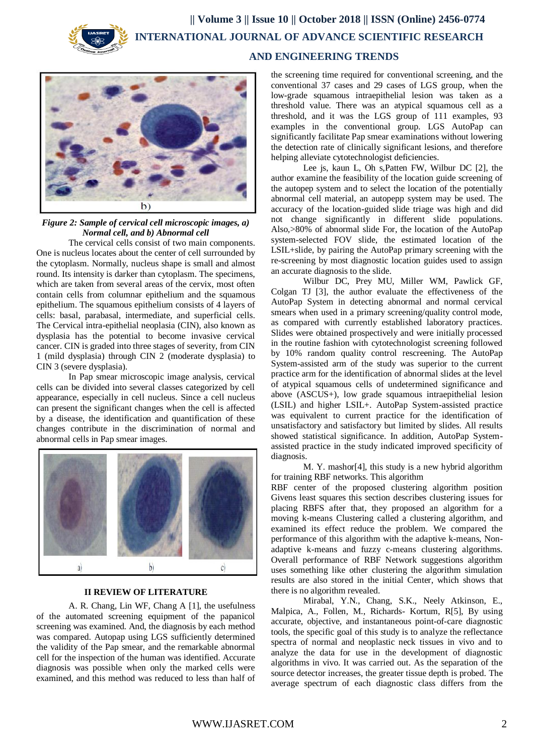

## **|| Volume 3 || Issue 10 || October 2018 || ISSN (Online) 2456-0774 INTERNATIONAL JOURNAL OF ADVANCE SCIENTIFIC RESEARCH**

#### **AND ENGINEERING TRENDS**



*Figure 2: Sample of cervical cell microscopic images, a) Normal cell, and b) Abnormal cell*

The cervical cells consist of two main components. One is nucleus locates about the center of cell surrounded by the cytoplasm. Normally, nucleus shape is small and almost round. Its intensity is darker than cytoplasm. The specimens, which are taken from several areas of the cervix, most often contain cells from columnar epithelium and the squamous epithelium. The squamous epithelium consists of 4 layers of cells: basal, parabasal, intermediate, and superficial cells. The Cervical intra-epithelial neoplasia (CIN), also known as dysplasia has the potential to become invasive cervical cancer. CIN is graded into three stages of severity, from CIN 1 (mild dysplasia) through CIN 2 (moderate dysplasia) to CIN 3 (severe dysplasia).

In Pap smear microscopic image analysis, cervical cells can be divided into several classes categorized by cell appearance, especially in cell nucleus. Since a cell nucleus can present the significant changes when the cell is affected by a disease, the identification and quantification of these changes contribute in the discrimination of normal and abnormal cells in Pap smear images.



#### **II REVIEW OF LITERATURE**

A. R. Chang, Lin WF, Chang A [1], the usefulness of the automated screening equipment of the papanicol screening was examined. And, the diagnosis by each method was compared. Autopap using LGS sufficiently determined the validity of the Pap smear, and the remarkable abnormal cell for the inspection of the human was identified. Accurate diagnosis was possible when only the marked cells were examined, and this method was reduced to less than half of

the screening time required for conventional screening, and the conventional 37 cases and 29 cases of LGS group, when the low-grade squamous intraepithelial lesion was taken as a threshold value. There was an atypical squamous cell as a threshold, and it was the LGS group of 111 examples, 93 examples in the conventional group. LGS AutoPap can significantly facilitate Pap smear examinations without lowering the detection rate of clinically significant lesions, and therefore helping alleviate cytotechnologist deficiencies.

Lee js, kaun L, Oh s,Patten FW, Wilbur DC [2], the author examine the feasibility of the location guide screening of the autopep system and to select the location of the potentially abnormal cell material, an autopepp system may be used. The accuracy of the location-guided slide triage was high and did not change significantly in different slide populations. Also,>80% of abnormal slide For, the location of the AutoPap system-selected FOV slide, the estimated location of the LSIL+slide, by pairing the AutoPap primary screening with the re-screening by most diagnostic location guides used to assign an accurate diagnosis to the slide.

Wilbur DC, Prey MU, Miller WM, Pawlick GF, Colgan TJ [3], the author evaluate the effectiveness of the AutoPap System in detecting abnormal and normal cervical smears when used in a primary screening/quality control mode, as compared with currently established laboratory practices. Slides were obtained prospectively and were initially processed in the routine fashion with cytotechnologist screening followed by 10% random quality control rescreening. The AutoPap System-assisted arm of the study was superior to the current practice arm for the identification of abnormal slides at the level of atypical squamous cells of undetermined significance and above (ASCUS+), low grade squamous intraepithelial lesion (LSIL) and higher LSIL+. AutoPap System-assisted practice was equivalent to current practice for the identification of unsatisfactory and satisfactory but limited by slides. All results showed statistical significance. In addition, AutoPap Systemassisted practice in the study indicated improved specificity of diagnosis.

M. Y. mashor[4], this study is a new hybrid algorithm for training RBF networks. This algorithm

RBF center of the proposed clustering algorithm position Givens least squares this section describes clustering issues for placing RBFS after that, they proposed an algorithm for a moving k-means Clustering called a clustering algorithm, and examined its effect reduce the problem. We compared the performance of this algorithm with the adaptive k-means, Nonadaptive k-means and fuzzy c-means clustering algorithms. Overall performance of RBF Network suggestions algorithm uses something like other clustering the algorithm simulation results are also stored in the initial Center, which shows that there is no algorithm revealed.

Mirabal, Y.N., Chang, S.K., Neely Atkinson, E., Malpica, A., Follen, M., Richards- Kortum, R[5], By using accurate, objective, and instantaneous point-of-care diagnostic tools, the specific goal of this study is to analyze the reflectance spectra of normal and neoplastic neck tissues in vivo and to analyze the data for use in the development of diagnostic algorithms in vivo. It was carried out. As the separation of the source detector increases, the greater tissue depth is probed. The average spectrum of each diagnostic class differs from the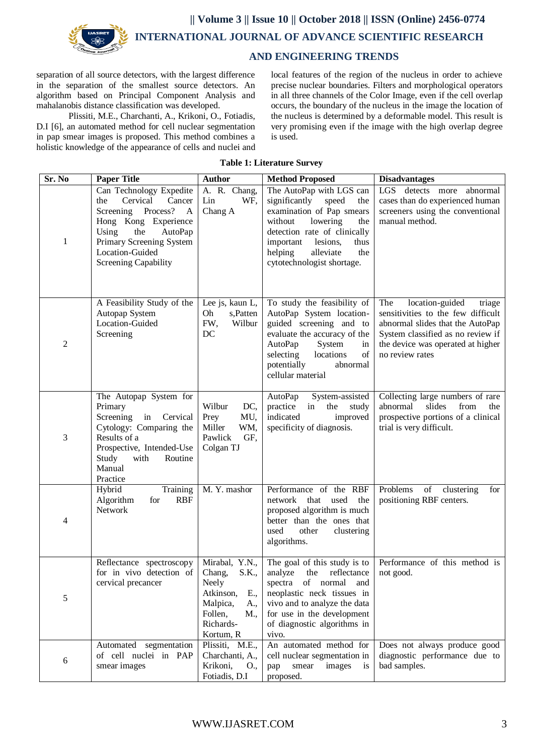

### **AND ENGINEERING TRENDS**

separation of all source detectors, with the largest difference in the separation of the smallest source detectors. An algorithm based on Principal Component Analysis and mahalanobis distance classification was developed.

Plissiti, M.E., Charchanti, A., Krikoni, O., Fotiadis, D.I [6], an automated method for cell nuclear segmentation in pap smear images is proposed. This method combines a holistic knowledge of the appearance of cells and nuclei and local features of the region of the nucleus in order to achieve precise nuclear boundaries. Filters and morphological operators in all three channels of the Color Image, even if the cell overlap occurs, the boundary of the nucleus in the image the location of the nucleus is determined by a deformable model. This result is very promising even if the image with the high overlap degree is used.

#### **Table 1: Literature Survey**

| Sr. No         | <b>Paper Title</b>                                                                                                                                                                                        | <b>Author</b>                                                                            | <b>Method Proposed</b>                                                                                                                                                                                                                             | <b>Disadvantages</b>                                                                                                                                                                                    |
|----------------|-----------------------------------------------------------------------------------------------------------------------------------------------------------------------------------------------------------|------------------------------------------------------------------------------------------|----------------------------------------------------------------------------------------------------------------------------------------------------------------------------------------------------------------------------------------------------|---------------------------------------------------------------------------------------------------------------------------------------------------------------------------------------------------------|
| $\mathbf{1}$   | Can Technology Expedite<br>Cervical<br>Cancer<br>the<br>Process? A<br>Screening<br>Hong Kong Experience<br>Using<br>the<br>AutoPap<br>Primary Screening System<br>Location-Guided<br>Screening Capability | A. R. Chang,<br>Lin<br>WF,<br>Chang A                                                    | The AutoPap with LGS can<br>significantly<br>speed<br>the<br>examination of Pap smears<br>without<br>lowering<br>the<br>detection rate of clinically<br>important<br>lesions,<br>thus<br>helping<br>alleviate<br>the<br>cytotechnologist shortage. | LGS detects more abnormal<br>cases than do experienced human<br>screeners using the conventional<br>manual method.                                                                                      |
| $\overline{2}$ | A Feasibility Study of the<br>Autopap System<br>Location-Guided<br>Screening                                                                                                                              | Lee js, kaun L, $\vert$<br>Oh<br>s, Patten<br>FW,<br>Wilbur<br>DC                        | To study the feasibility of<br>AutoPap System location-<br>guided screening and to<br>evaluate the accuracy of the<br>AutoPap<br>System<br>in<br>selecting<br>locations<br>of<br>potentially<br>abnormal<br>cellular material                      | The<br>location-guided<br>triage<br>sensitivities to the few difficult<br>abnormal slides that the AutoPap<br>System classified as no review if<br>the device was operated at higher<br>no review rates |
| 3              | The Autopap System for<br>Primary<br>Screening<br>in Cervical<br>Cytology: Comparing the<br>Results of a<br>Prospective, Intended-Use<br>Study<br>with<br>Routine<br>Manual<br>Practice                   | Wilbur<br>DC,<br>Prey<br>MU,<br>Miller<br>WM,<br>GF,<br>Pawlick<br>Colgan TJ             | AutoPap<br>System-assisted<br>practice<br>in<br>the<br>study<br>indicated<br>improved<br>specificity of diagnosis.                                                                                                                                 | Collecting large numbers of rare<br>slides<br>abnormal<br>from<br>the<br>prospective portions of a clinical<br>trial is very difficult.                                                                 |
| 4              | Hybrid<br>Training<br><b>RBF</b><br>Algorithm<br>for<br>Network                                                                                                                                           | M. Y. mashor                                                                             | Performance of the RBF<br>network that used<br>the<br>proposed algorithm is much<br>better than the ones that<br>used<br>other<br>clustering<br>algorithms.                                                                                        | Problems<br>of<br>clustering<br>for<br>positioning RBF centers.                                                                                                                                         |
| 5              | cervical precancer                                                                                                                                                                                        | Neely<br>Atkinson,<br>E.,<br>Malpica,<br>A.,<br>Follen,<br>M.,<br>Richards-<br>Kortum, R | for in vivo detection of Chang, S.K., analyze the reflectance not good.<br>spectra of normal and<br>neoplastic neck tissues in<br>vivo and to analyze the data<br>for use in the development<br>of diagnostic algorithms in<br>vivo.               | Reflectance spectroscopy   Mirabal, Y.N.,   The goal of this study is to   Performance of this method is                                                                                                |
| 6              | Automated segmentation<br>of cell nuclei in PAP<br>smear images                                                                                                                                           | Plissiti, M.E.,<br>Charchanti, A.,<br>Krikoni,<br>$O_{\cdot}$<br>Fotiadis, D.I           | An automated method for<br>cell nuclear segmentation in<br>smear<br>images<br>pap<br>is<br>proposed.                                                                                                                                               | Does not always produce good<br>diagnostic performance due to<br>bad samples.                                                                                                                           |